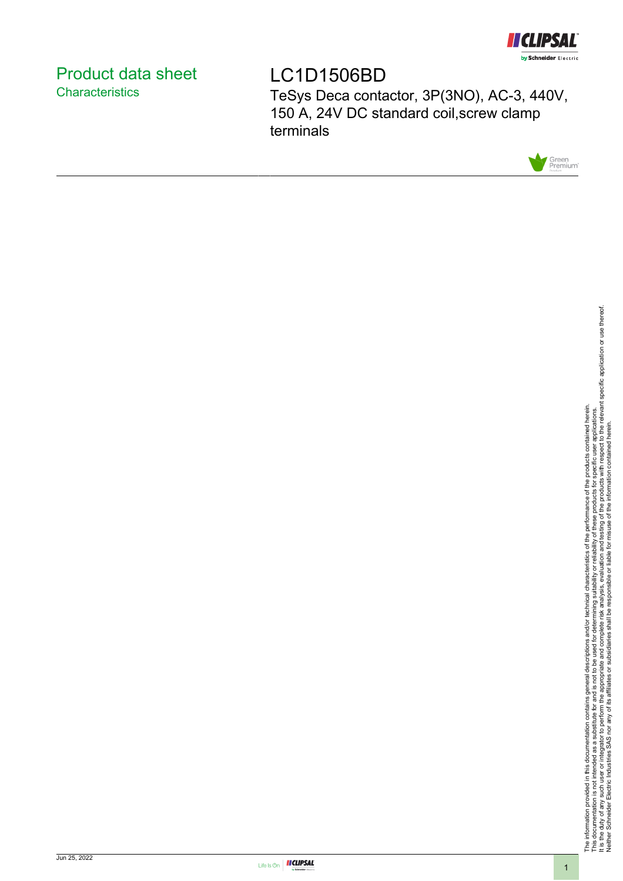

## <span id="page-0-0"></span>Product data sheet **Characteristics**

LC1D1506BD

TeSys Deca contactor, 3P(3NO), AC-3, 440V, 150 A, 24V DC standard coil,screw clamp terminals



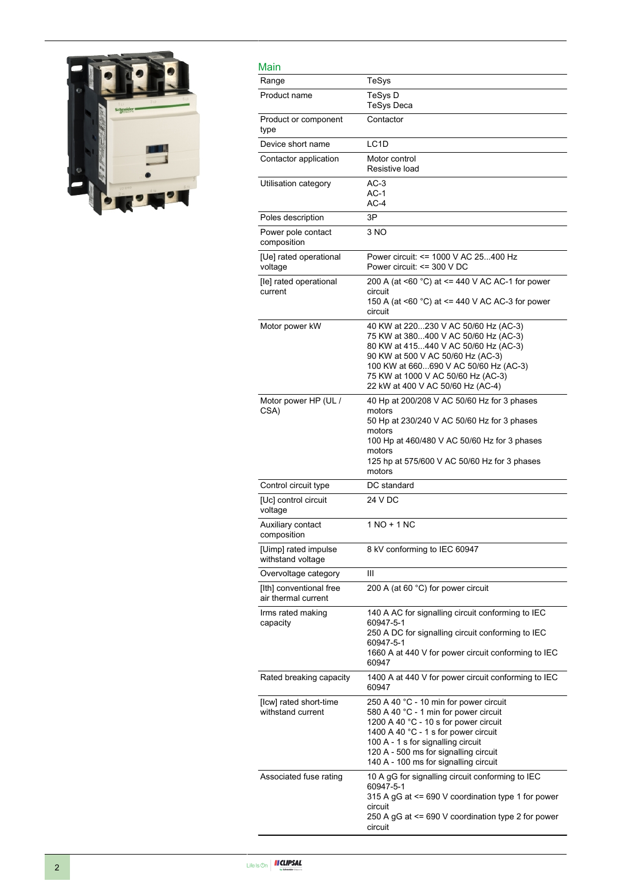

| Main                                           |                                                                                                                                                                                                                                                                                          |
|------------------------------------------------|------------------------------------------------------------------------------------------------------------------------------------------------------------------------------------------------------------------------------------------------------------------------------------------|
| Range                                          | TeSys                                                                                                                                                                                                                                                                                    |
| Product name                                   | TeSys D<br>TeSys Deca                                                                                                                                                                                                                                                                    |
| Product or component<br>type                   | Contactor                                                                                                                                                                                                                                                                                |
| Device short name                              | LC1D                                                                                                                                                                                                                                                                                     |
| Contactor application                          | Motor control<br>Resistive load                                                                                                                                                                                                                                                          |
| Utilisation category                           | $AC-3$<br>AC-1<br>AC-4                                                                                                                                                                                                                                                                   |
| Poles description                              | 3P                                                                                                                                                                                                                                                                                       |
| Power pole contact<br>composition              | 3 NO                                                                                                                                                                                                                                                                                     |
| [Ue] rated operational<br>voltage              | Power circuit: <= 1000 V AC 25400 Hz<br>Power circuit: <= 300 V DC                                                                                                                                                                                                                       |
| [le] rated operational<br>current              | 200 A (at <60 °C) at <= 440 V AC AC-1 for power<br>circuit<br>150 A (at $\leq 60$ °C) at $\leq$ 440 V AC AC-3 for power<br>circuit                                                                                                                                                       |
| Motor power kW                                 | 40 KW at 220230 V AC 50/60 Hz (AC-3)<br>75 KW at 380400 V AC 50/60 Hz (AC-3)<br>80 KW at 415440 V AC 50/60 Hz (AC-3)<br>90 KW at 500 V AC 50/60 Hz (AC-3)<br>100 KW at 660690 V AC 50/60 Hz (AC-3)<br>75 KW at 1000 V AC 50/60 Hz (AC-3)<br>22 kW at 400 V AC 50/60 Hz (AC-4)            |
| Motor power HP (UL /<br>CSA)                   | 40 Hp at 200/208 V AC 50/60 Hz for 3 phases<br>motors<br>50 Hp at 230/240 V AC 50/60 Hz for 3 phases<br>motors<br>100 Hp at 460/480 V AC 50/60 Hz for 3 phases<br>motors<br>125 hp at 575/600 V AC 50/60 Hz for 3 phases<br>motors                                                       |
| Control circuit type                           | DC standard                                                                                                                                                                                                                                                                              |
| [Uc] control circuit<br>voltage                | 24 V DC                                                                                                                                                                                                                                                                                  |
| Auxiliary contact<br>composition               | 1 NO + 1 NC                                                                                                                                                                                                                                                                              |
| [Uimp] rated impulse<br>withstand voltage      | 8 kV conforming to IEC 60947                                                                                                                                                                                                                                                             |
| Overvoltage category                           | Ш                                                                                                                                                                                                                                                                                        |
| [Ith] conventional free<br>air thermal current | 200 A (at 60 °C) for power circuit                                                                                                                                                                                                                                                       |
| Irms rated making<br>capacity                  | 140 A AC for signalling circuit conforming to IEC<br>60947-5-1<br>250 A DC for signalling circuit conforming to IEC<br>60947-5-1<br>1660 A at 440 V for power circuit conforming to IEC<br>60947                                                                                         |
| Rated breaking capacity                        | 1400 A at 440 V for power circuit conforming to IEC<br>60947                                                                                                                                                                                                                             |
| [lcw] rated short-time<br>withstand current    | 250 A 40 °C - 10 min for power circuit<br>580 A 40 °C - 1 min for power circuit<br>1200 A 40 °C - 10 s for power circuit<br>1400 A 40 °C - 1 s for power circuit<br>100 A - 1 s for signalling circuit<br>120 A - 500 ms for signalling circuit<br>140 A - 100 ms for signalling circuit |
| Associated fuse rating                         | 10 A gG for signalling circuit conforming to IEC<br>60947-5-1<br>315 A gG at <= 690 V coordination type 1 for power<br>circuit<br>250 A gG at <= 690 V coordination type 2 for power<br>circuit                                                                                          |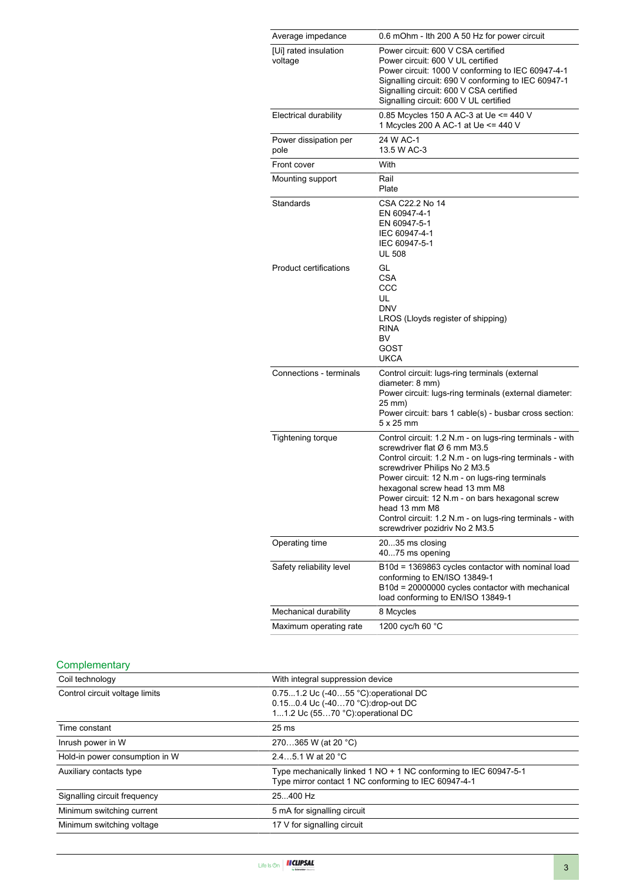| Average impedance                | 0.6 mOhm - Ith 200 A 50 Hz for power circuit                                                                                                                                                                                                                                                                                                                                                                                               |
|----------------------------------|--------------------------------------------------------------------------------------------------------------------------------------------------------------------------------------------------------------------------------------------------------------------------------------------------------------------------------------------------------------------------------------------------------------------------------------------|
| [Ui] rated insulation<br>voltage | Power circuit: 600 V CSA certified<br>Power circuit: 600 V UL certified<br>Power circuit: 1000 V conforming to IEC 60947-4-1<br>Signalling circuit: 690 V conforming to IEC 60947-1<br>Signalling circuit: 600 V CSA certified<br>Signalling circuit: 600 V UL certified                                                                                                                                                                   |
| <b>Electrical durability</b>     | 0.85 Mcycles 150 A AC-3 at Ue <= 440 V<br>1 Mcycles 200 A AC-1 at Ue <= 440 V                                                                                                                                                                                                                                                                                                                                                              |
| Power dissipation per<br>pole    | 24 W AC-1<br>13.5 W AC-3                                                                                                                                                                                                                                                                                                                                                                                                                   |
| Front cover                      | With                                                                                                                                                                                                                                                                                                                                                                                                                                       |
| Mounting support                 | Rail<br>Plate                                                                                                                                                                                                                                                                                                                                                                                                                              |
| Standards                        | CSA C22.2 No 14<br>EN 60947-4-1<br>EN 60947-5-1<br>IEC 60947-4-1<br>IEC 60947-5-1<br><b>UL 508</b>                                                                                                                                                                                                                                                                                                                                         |
| Product certifications           | GL<br><b>CSA</b><br>CCC<br>UL<br><b>DNV</b><br>LROS (Lloyds register of shipping)<br><b>RINA</b><br><b>BV</b><br>GOST<br><b>UKCA</b>                                                                                                                                                                                                                                                                                                       |
| Connections - terminals          | Control circuit: lugs-ring terminals (external<br>diameter: 8 mm)<br>Power circuit: lugs-ring terminals (external diameter:<br>25 mm)<br>Power circuit: bars 1 cable(s) - busbar cross section:<br>$5 \times 25$ mm                                                                                                                                                                                                                        |
| <b>Tightening torque</b>         | Control circuit: 1.2 N.m - on lugs-ring terminals - with<br>screwdriver flat Ø 6 mm M3.5<br>Control circuit: 1.2 N.m - on lugs-ring terminals - with<br>screwdriver Philips No 2 M3.5<br>Power circuit: 12 N.m - on lugs-ring terminals<br>hexagonal screw head 13 mm M8<br>Power circuit: 12 N.m - on bars hexagonal screw<br>head 13 mm M8<br>Control circuit: 1.2 N.m - on lugs-ring terminals - with<br>screwdriver pozidriv No 2 M3.5 |
| Operating time                   | 2035 ms closing<br>4075 ms opening                                                                                                                                                                                                                                                                                                                                                                                                         |
| Safety reliability level         | B10d = 1369863 cycles contactor with nominal load<br>conforming to EN/ISO 13849-1<br>B10d = 20000000 cycles contactor with mechanical<br>load conforming to EN/ISO 13849-1                                                                                                                                                                                                                                                                 |
| Mechanical durability            | 8 Mcycles                                                                                                                                                                                                                                                                                                                                                                                                                                  |
| Maximum operating rate           | 1200 cyc/h 60 °C                                                                                                                                                                                                                                                                                                                                                                                                                           |

#### **Complementary**

| With integral suppression device                                                                                         |
|--------------------------------------------------------------------------------------------------------------------------|
| 0.751.2 Uc (-4055 °C): operational DC<br>0.150.4 Uc (-4070 °C): drop-out DC<br>11.2 Uc (5570 °C): operational DC         |
| 25 <sub>ms</sub>                                                                                                         |
| 270365 W (at 20 °C)                                                                                                      |
| 2.45.1 W at 20 $^{\circ}$ C                                                                                              |
| Type mechanically linked 1 NO + 1 NC conforming to IEC 60947-5-1<br>Type mirror contact 1 NC conforming to IEC 60947-4-1 |
| 25.400 Hz                                                                                                                |
| 5 mA for signalling circuit                                                                                              |
| 17 V for signalling circuit                                                                                              |
|                                                                                                                          |